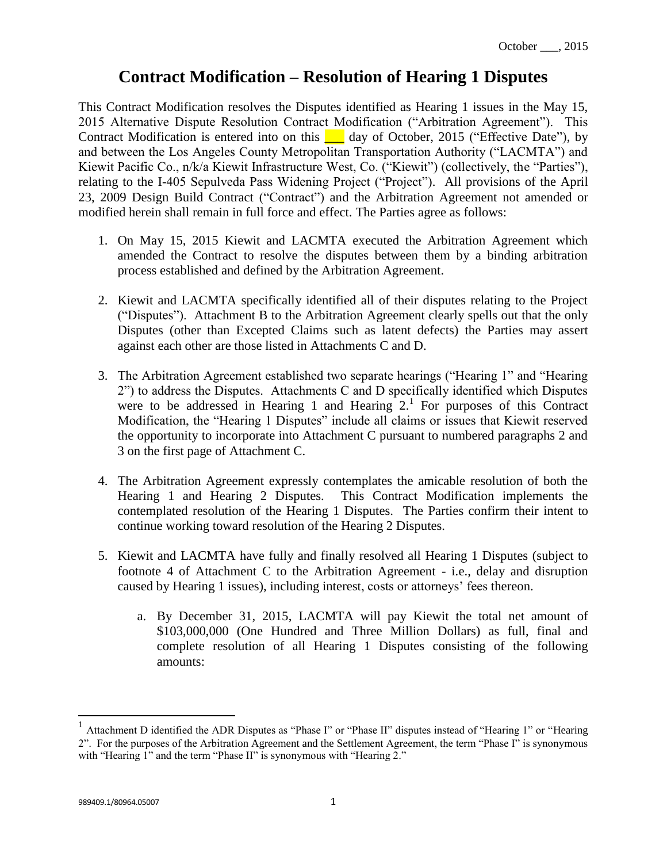## **Contract Modification – Resolution of Hearing 1 Disputes**

This Contract Modification resolves the Disputes identified as Hearing 1 issues in the May 15, 2015 Alternative Dispute Resolution Contract Modification ("Arbitration Agreement"). This Contract Modification is entered into on this  $\Box$  day of October, 2015 ("Effective Date"), by and between the Los Angeles County Metropolitan Transportation Authority ("LACMTA") and Kiewit Pacific Co., n/k/a Kiewit Infrastructure West, Co. ("Kiewit") (collectively, the "Parties"), relating to the I-405 Sepulveda Pass Widening Project ("Project"). All provisions of the April 23, 2009 Design Build Contract ("Contract") and the Arbitration Agreement not amended or modified herein shall remain in full force and effect. The Parties agree as follows:

- 1. On May 15, 2015 Kiewit and LACMTA executed the Arbitration Agreement which amended the Contract to resolve the disputes between them by a binding arbitration process established and defined by the Arbitration Agreement.
- 2. Kiewit and LACMTA specifically identified all of their disputes relating to the Project ("Disputes"). Attachment B to the Arbitration Agreement clearly spells out that the only Disputes (other than Excepted Claims such as latent defects) the Parties may assert against each other are those listed in Attachments C and D.
- 3. The Arbitration Agreement established two separate hearings ("Hearing 1" and "Hearing 2") to address the Disputes. Attachments C and D specifically identified which Disputes were to be addressed in Hearing 1 and Hearing  $2<sup>1</sup>$ . For purposes of this Contract Modification, the "Hearing 1 Disputes" include all claims or issues that Kiewit reserved the opportunity to incorporate into Attachment C pursuant to numbered paragraphs 2 and 3 on the first page of Attachment C.
- 4. The Arbitration Agreement expressly contemplates the amicable resolution of both the Hearing 1 and Hearing 2 Disputes. This Contract Modification implements the contemplated resolution of the Hearing 1 Disputes. The Parties confirm their intent to continue working toward resolution of the Hearing 2 Disputes.
- 5. Kiewit and LACMTA have fully and finally resolved all Hearing 1 Disputes (subject to footnote 4 of Attachment C to the Arbitration Agreement - i.e., delay and disruption caused by Hearing 1 issues), including interest, costs or attorneys' fees thereon.
	- a. By December 31, 2015, LACMTA will pay Kiewit the total net amount of \$103,000,000 (One Hundred and Three Million Dollars) as full, final and complete resolution of all Hearing 1 Disputes consisting of the following amounts:

 $\overline{a}$ 

<sup>&</sup>lt;sup>1</sup> Attachment D identified the ADR Disputes as "Phase I" or "Phase II" disputes instead of "Hearing 1" or "Hearing 2". For the purposes of the Arbitration Agreement and the Settlement Agreement, the term "Phase I" is synonymous with "Hearing 1" and the term "Phase II" is synonymous with "Hearing 2."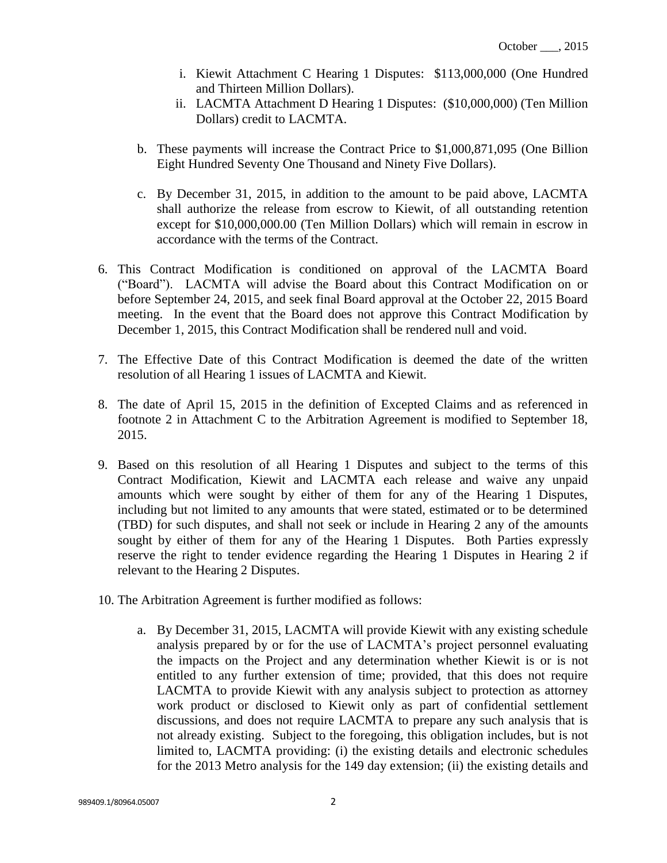- i. Kiewit Attachment C Hearing 1 Disputes: \$113,000,000 (One Hundred and Thirteen Million Dollars).
- ii. LACMTA Attachment D Hearing 1 Disputes: (\$10,000,000) (Ten Million Dollars) credit to LACMTA.
- b. These payments will increase the Contract Price to \$1,000,871,095 (One Billion Eight Hundred Seventy One Thousand and Ninety Five Dollars).
- c. By December 31, 2015, in addition to the amount to be paid above, LACMTA shall authorize the release from escrow to Kiewit, of all outstanding retention except for \$10,000,000.00 (Ten Million Dollars) which will remain in escrow in accordance with the terms of the Contract.
- 6. This Contract Modification is conditioned on approval of the LACMTA Board ("Board"). LACMTA will advise the Board about this Contract Modification on or before September 24, 2015, and seek final Board approval at the October 22, 2015 Board meeting.In the event that the Board does not approve this Contract Modification by December 1, 2015, this Contract Modification shall be rendered null and void.
- 7. The Effective Date of this Contract Modification is deemed the date of the written resolution of all Hearing 1 issues of LACMTA and Kiewit.
- 8. The date of April 15, 2015 in the definition of Excepted Claims and as referenced in footnote 2 in Attachment C to the Arbitration Agreement is modified to September 18, 2015.
- 9. Based on this resolution of all Hearing 1 Disputes and subject to the terms of this Contract Modification, Kiewit and LACMTA each release and waive any unpaid amounts which were sought by either of them for any of the Hearing 1 Disputes, including but not limited to any amounts that were stated, estimated or to be determined (TBD) for such disputes, and shall not seek or include in Hearing 2 any of the amounts sought by either of them for any of the Hearing 1 Disputes. Both Parties expressly reserve the right to tender evidence regarding the Hearing 1 Disputes in Hearing 2 if relevant to the Hearing 2 Disputes.
- 10. The Arbitration Agreement is further modified as follows:
	- a. By December 31, 2015, LACMTA will provide Kiewit with any existing schedule analysis prepared by or for the use of LACMTA's project personnel evaluating the impacts on the Project and any determination whether Kiewit is or is not entitled to any further extension of time; provided, that this does not require LACMTA to provide Kiewit with any analysis subject to protection as attorney work product or disclosed to Kiewit only as part of confidential settlement discussions, and does not require LACMTA to prepare any such analysis that is not already existing. Subject to the foregoing, this obligation includes, but is not limited to, LACMTA providing: (i) the existing details and electronic schedules for the 2013 Metro analysis for the 149 day extension; (ii) the existing details and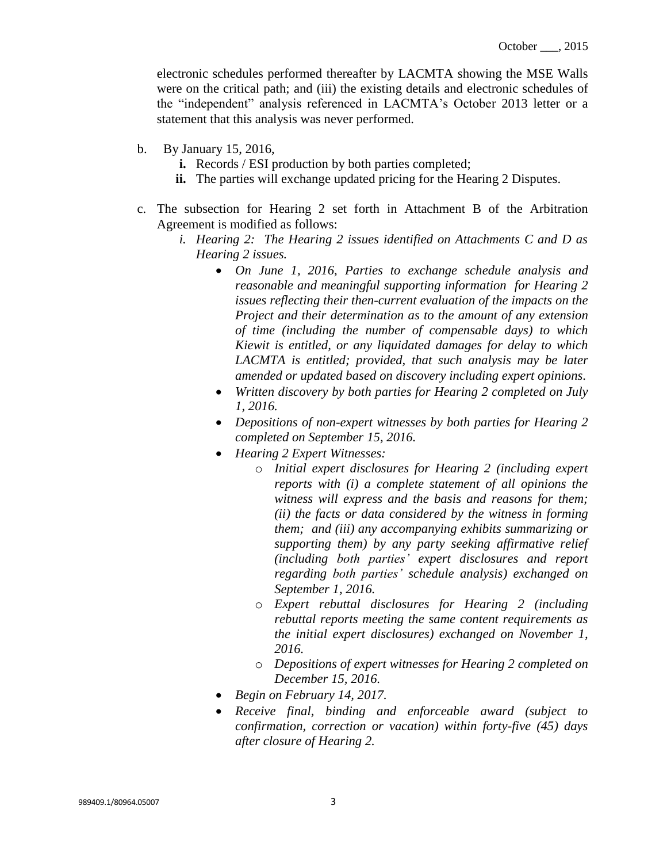electronic schedules performed thereafter by LACMTA showing the MSE Walls were on the critical path; and (iii) the existing details and electronic schedules of the "independent" analysis referenced in LACMTA's October 2013 letter or a statement that this analysis was never performed.

- b. By January 15, 2016,
	- **i.** Records / ESI production by both parties completed;
	- **ii.** The parties will exchange updated pricing for the Hearing 2 Disputes.
- c. The subsection for Hearing 2 set forth in Attachment B of the Arbitration Agreement is modified as follows:
	- *i. Hearing 2: The Hearing 2 issues identified on Attachments C and D as Hearing 2 issues.*
		- *On June 1, 2016*, *Parties to exchange schedule analysis and reasonable and meaningful supporting information for Hearing 2 issues reflecting their then-current evaluation of the impacts on the Project and their determination as to the amount of any extension of time (including the number of compensable days) to which Kiewit is entitled, or any liquidated damages for delay to which LACMTA is entitled; provided, that such analysis may be later amended or updated based on discovery including expert opinions.*
		- *Written discovery by both parties for Hearing 2 completed on July 1, 2016.*
		- *Depositions of non-expert witnesses by both parties for Hearing 2 completed on September 15, 2016.*
		- *Hearing 2 Expert Witnesses:*
			- o *Initial expert disclosures for Hearing 2 (including expert reports with (i) a complete statement of all opinions the witness will express and the basis and reasons for them; (ii) the facts or data considered by the witness in forming them; and (iii) any accompanying exhibits summarizing or supporting them) by any party seeking affirmative relief (including both parties' expert disclosures and report regarding both parties' schedule analysis) exchanged on September 1, 2016.*
			- o *Expert rebuttal disclosures for Hearing 2 (including rebuttal reports meeting the same content requirements as the initial expert disclosures) exchanged on November 1, 2016.*
			- o *Depositions of expert witnesses for Hearing 2 completed on December 15, 2016.*
		- *Begin on February 14, 2017.*
		- *Receive final, binding and enforceable award (subject to confirmation, correction or vacation) within forty-five (45) days after closure of Hearing 2.*